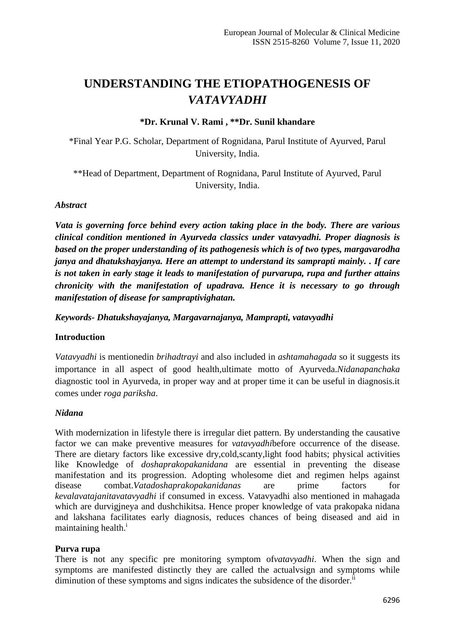# **UNDERSTANDING THE ETIOPATHOGENESIS OF**  *VATAVYADHI*

## **\*Dr. Krunal V. Rami , \*\*Dr. Sunil khandare**

\*Final Year P.G. Scholar, Department of Rognidana, Parul Institute of Ayurved, Parul University, India.

\*\*Head of Department, Department of Rognidana, Parul Institute of Ayurved, Parul University, India.

## *Abstract*

*Vata is governing force behind every action taking place in the body. There are various clinical condition mentioned in Ayurveda classics under vatavyadhi. Proper diagnosis is based on the proper understanding of its pathogenesis which is of two types, margavarodha janya and dhatukshayjanya. Here an attempt to understand its samprapti mainly. . If care is not taken in early stage it leads to manifestation of purvarupa, rupa and further attains chronicity with the manifestation of upadrava. Hence it is necessary to go through manifestation of disease for sampraptivighatan.* 

*Keywords- Dhatukshayajanya, Margavarnajanya, Mamprapti, vatavyadhi*

## **Introduction**

*Vatavyadhi* is mentionedin *brihadtrayi* and also included in *ashtamahagada* so it suggests its importance in all aspect of good health,ultimate motto of Ayurveda.*Nidanapanchaka* diagnostic tool in Ayurveda, in proper way and at proper time it can be useful in diagnosis.it comes under *roga pariksha*.

## *Nidana*

With modernization in lifestyle there is irregular diet pattern. By understanding the causative factor we can make preventive measures for *vatavyadhi*before occurrence of the disease. There are dietary factors like excessive dry,cold,scanty,light food habits; physical activities like Knowledge of *doshaprakopakanidana* are essential in preventing the disease manifestation and its progression. Adopting wholesome diet and regimen helps against disease combat.*Vatadoshaprakopakanidanas* are prime factors for *kevalavatajanitavatavyadhi* if consumed in excess. Vatavyadhi also mentioned in mahagada which are durvigjneya and dushchikitsa. Hence proper knowledge of vata prakopaka nidana and lakshana facilitates early diagnosis, reduces chances of being diseased and aid in maintaining health.<sup>i</sup>

## **Purva rupa**

There is not any specific pre monitoring symptom of*vatavyadhi*. When the sign and symptoms are manifested distinctly they are called the actualvsign and symptoms while diminution of these symptoms and signs indicates the subsidence of the disorder.<sup>ii</sup>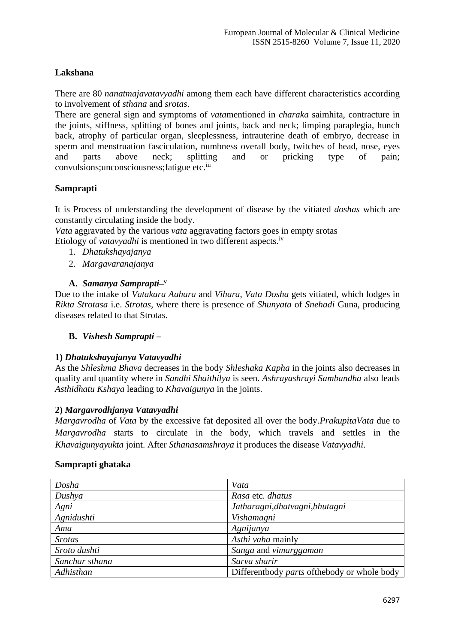## **Lakshana**

There are 80 *nanatmajavatavyadhi* among them each have different characteristics according to involvement of *sthana* and *srotas*.

There are general sign and symptoms of *vata*mentioned in *charaka* saimhita, contracture in the joints, stiffness, splitting of bones and joints, back and neck; limping paraplegia, hunch back, atrophy of particular organ, sleeplessness, intrauterine death of embryo, decrease in sperm and menstruation fasciculation, numbness overall body, twitches of head, nose, eyes and parts above neck; splitting and or pricking type of pain; convulsions; unconsciousness; fatigue etc.<sup>iii</sup>

## **Samprapti**

It is Process of understanding the development of disease by the vitiated *doshas* which are constantly circulating inside the body.

*Vata* aggravated by the various *vata* aggravating factors goes in empty srotas Etiology of *vatavyadhi* is mentioned in two different aspects.<sup>iv</sup>

- 1. *Dhatukshayajanya*
- 2. *Margavaranajanya*

## **A.** *Samanya Samprapti***– v**

Due to the intake of *Vatakara Aahara* and *Vihara*, *Vata Dosha* gets vitiated, which lodges in *Rikta Strotasa* i.e. *Strotas,* where there is presence of *Shunyata* of *Snehadi* Guna, producing diseases related to that Strotas.

## **B.** *Vishesh Samprapti* **–**

## **1)** *Dhatukshayajanya Vatavyadhi*

As the *Shleshma Bhava* decreases in the body *Shleshaka Kapha* in the joints also decreases in quality and quantity where in *Sandhi Shaithilya* is seen. *Ashrayashrayi Sambandha* also leads *Asthidhatu Kshaya* leading to *Khavaigunya* in the joints.

## **2)** *Margavrodhjanya Vatavyadhi*

*Margavrodha* of *Vata* by the excessive fat deposited all over the body.*PrakupitaVata* due to *Margavrodha* starts to circulate in the body, which travels and settles in the *Khavaigunyayukta* joint. After *Sthanasamshraya* it produces the disease *Vatavyadhi*.

#### **Samprapti ghataka**

| Dosha          | Vata                                          |
|----------------|-----------------------------------------------|
| Dushya         | Rasa etc. dhatus                              |
| Agni           | Jatharagni, dhatvagni, bhutagni               |
| Agnidushti     | Vishamagni                                    |
| Ama            | Agnijanya                                     |
| <b>Srotas</b>  | Asthi vaha mainly                             |
| Sroto dushti   | Sanga and vimarggaman                         |
| Sanchar sthana | Sarva sharir                                  |
| Adhisthan      | Differentbody parts of the body or whole body |